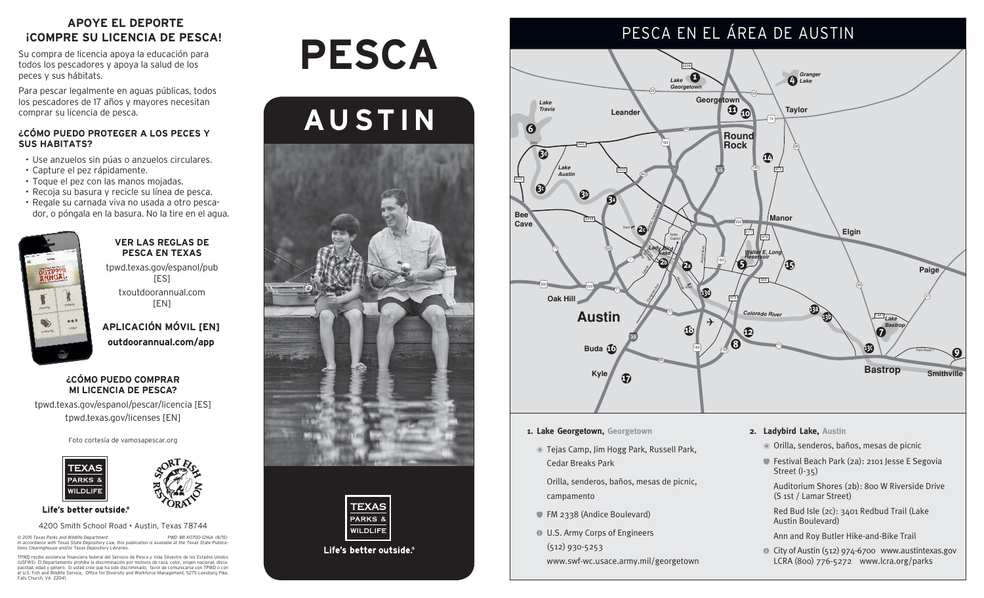## **APOYE EL DEPORTE ¡COMPRE SU LICENCIA DE PESCA!**

Su compra de licencia apoya la educación para todos los pescadores y apoya la salud de los peces y sus hábitats.

Para pescar legalmente en aguas públicas, todos los pescadores de 17 años y mayores necesitan comprar su licencia de pesca.

#### **¿CÓMO PUEDO PROTEGER A LOS PECES Y SUS HABITATS?**

- • Use anzuelos sin púas o anzuelos circulares.
- • Capture el pez rápidamente.
- Toque el pez con las manos mojadas.
- • Recoja su basura y recicle su línea de pesca.
- • Regale su carnada viva no usada a otro pescador, o póngala en la basura. No la tire en el agua.



#### **VER LAS REGLAS DE PESCA EN TEXAS**

tpwd.texas.gov/espanol/pub [ES]

txoutdoorannual.com  $[EN]$ 

**APLICACIÓN MÓVIL [EN] outdoorannual.com/app**

#### **¿CÓMO PUEDO COMPRAR MI LICENCIA DE PESCA?**

tpwd.texas.gov/espanol/pescar/licencia [ES] tpwd.texas.gov/licenses [EN]

Foto cortesía de vamosapescar.org



Life's better outside.®

#### 4200 Smith School Road • Austin, Texas 78744

© 2015 Texas Parks and Wildlife Department<br>In accordance with Texas State Depository Law, this publication is available at the Texas State Publica-<br>tions Clearinghouse and/or Texas Depository Libraries.

TPWD recibe asistencia financiera federal del Servicio de Pesca y Vida Silvestre de los Estados Unidos<br>(USFWS). El Departamento prohíbe la discriminación por motivos de raza, color, origen nacional, disca-<br>pacidad, edad y Falls Church, VA 22041

# **Pesca**





Life's better outside.



- **1. Lake Georgetown, Georgetown**
- Tejas Camp, Jim Hogg Park, Russell Park, Cedar Breaks Park

 Orilla, senderos, baños, mesas de picnic, campamento

- FM 2338 (Andice Boulevard)
- U.S. Army Corps of Engineers (512) 930-5253 www.swf-wc.usace.army.mil/georgetown
- **2. Ladybird Lake, Austin**
	- Orilla, senderos, baños, mesas de picnic
	- Festival Beach Park (2a): 2101 Jesse E Segovia Street (I-35)

 Auditorium Shores (2b): 800 W Riverside Drive (S 1st / Lamar Street)

 Red Bud Isle (2c): 3401 Redbud Trail (Lake Austin Boulevard)

Ann and Roy Butler Hike-and-Bike Trail

City of Austin (512) 974-6700 www.austintexas.gov LCRA (800) 776-5272 www.lcra.org/parks